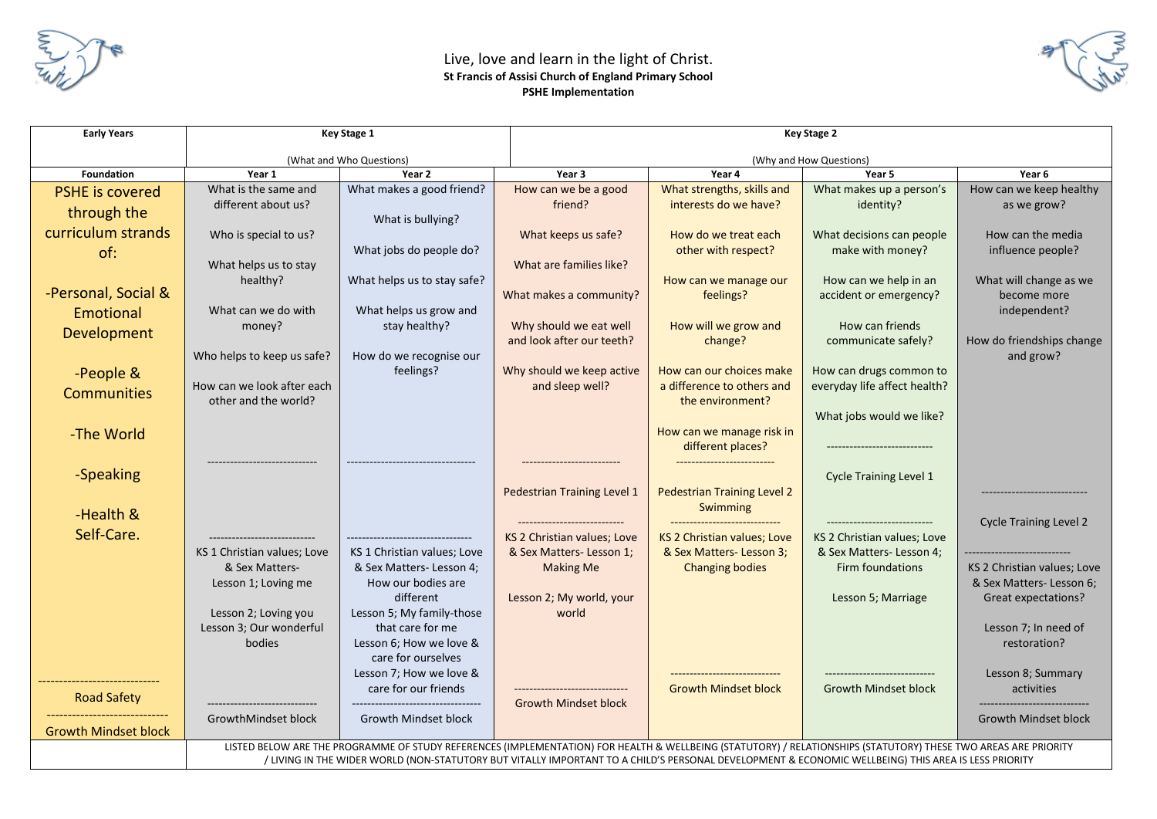

## Live, love and learn in the light of Christ. **St Francis of Assisi Church of England Primary School PSHE Implementation**



| <b>Early Years</b>                    | Key Stage 1                                                                                                                                                                                                                                                                                                            |                                                                                                             | Key Stage 2                                            |                                                                                                 |                                                                                         |                                                             |
|---------------------------------------|------------------------------------------------------------------------------------------------------------------------------------------------------------------------------------------------------------------------------------------------------------------------------------------------------------------------|-------------------------------------------------------------------------------------------------------------|--------------------------------------------------------|-------------------------------------------------------------------------------------------------|-----------------------------------------------------------------------------------------|-------------------------------------------------------------|
|                                       | (What and Who Questions)                                                                                                                                                                                                                                                                                               |                                                                                                             | (Why and How Questions)                                |                                                                                                 |                                                                                         |                                                             |
| <b>Foundation</b>                     | Year 1                                                                                                                                                                                                                                                                                                                 | Year 2                                                                                                      | Year 3                                                 | Year 4                                                                                          | Year 5                                                                                  | Year 6                                                      |
| <b>PSHE is covered</b><br>through the | What is the same and<br>different about us?                                                                                                                                                                                                                                                                            | What makes a good friend?<br>What is bullying?                                                              | How can we be a good<br>friend?                        | What strengths, skills and<br>interests do we have?                                             | What makes up a person's<br>identity?                                                   | How can we keep healthy<br>as we grow?                      |
| curriculum strands<br>of:             | Who is special to us?<br>What helps us to stay                                                                                                                                                                                                                                                                         | What jobs do people do?                                                                                     | What keeps us safe?<br>What are families like?         | How do we treat each<br>other with respect?                                                     | What decisions can people<br>make with money?                                           | How can the media<br>influence people?                      |
| -Personal, Social &                   | healthy?<br>What can we do with                                                                                                                                                                                                                                                                                        | What helps us to stay safe?<br>What helps us grow and                                                       | What makes a community?                                | How can we manage our<br>feelings?                                                              | How can we help in an<br>accident or emergency?                                         | What will change as we<br>become more<br>independent?       |
| <b>Emotional</b><br>Development       | money?                                                                                                                                                                                                                                                                                                                 | stay healthy?                                                                                               | Why should we eat well<br>and look after our teeth?    | How will we grow and<br>change?                                                                 | How can friends<br>communicate safely?                                                  | How do friendships change                                   |
| -People &<br><b>Communities</b>       | Who helps to keep us safe?<br>How can we look after each<br>other and the world?                                                                                                                                                                                                                                       | How do we recognise our<br>feelings?                                                                        | Why should we keep active<br>and sleep well?           | How can our choices make<br>a difference to others and<br>the environment?                      | How can drugs common to<br>everyday life affect health?<br>What jobs would we like?     | and grow?                                                   |
| -The World                            |                                                                                                                                                                                                                                                                                                                        |                                                                                                             |                                                        | How can we manage risk in<br>different places?                                                  |                                                                                         |                                                             |
| -Speaking<br>-Health &                |                                                                                                                                                                                                                                                                                                                        |                                                                                                             | Pedestrian Training Level 1                            | <b>Pedestrian Training Level 2</b><br>Swimming                                                  | <b>Cycle Training Level 1</b>                                                           |                                                             |
| Self-Care.                            | KS 1 Christian values; Love                                                                                                                                                                                                                                                                                            | --------------------------------<br>KS 1 Christian values; Love                                             | KS 2 Christian values; Love<br>& Sex Matters-Lesson 1; | ------------------------------<br><b>KS 2 Christian values; Love</b><br>& Sex Matters-Lesson 3; | -----------------------------<br>KS 2 Christian values; Love<br>& Sex Matters-Lesson 4; | <b>Cycle Training Level 2</b>                               |
|                                       | & Sex Matters-<br>Lesson 1; Loving me                                                                                                                                                                                                                                                                                  | & Sex Matters-Lesson 4;<br>How our bodies are                                                               | <b>Making Me</b>                                       | <b>Changing bodies</b>                                                                          | Firm foundations                                                                        | KS 2 Christian values; Love<br>& Sex Matters-Lesson 6;      |
|                                       | Lesson 2; Loving you<br>Lesson 3; Our wonderful<br>bodies                                                                                                                                                                                                                                                              | different<br>Lesson 5; My family-those<br>that care for me<br>Lesson 6; How we love &<br>care for ourselves | Lesson 2; My world, your<br>world                      |                                                                                                 | Lesson 5; Marriage                                                                      | Great expectations?<br>Lesson 7; In need of<br>restoration? |
| <b>Road Safety</b>                    |                                                                                                                                                                                                                                                                                                                        | Lesson 7; How we love &<br>care for our friends                                                             | <b>Growth Mindset block</b>                            | <b>Growth Mindset block</b>                                                                     | <b>Growth Mindset block</b>                                                             | Lesson 8; Summary<br>activities                             |
| <b>Growth Mindset block</b>           | GrowthMindset block                                                                                                                                                                                                                                                                                                    | Growth Mindset block                                                                                        |                                                        |                                                                                                 |                                                                                         | <b>Growth Mindset block</b>                                 |
|                                       | LISTED BELOW ARE THE PROGRAMME OF STUDY REFERENCES (IMPLEMENTATION) FOR HEALTH & WELLBEING (STATUTORY) / RELATIONSHIPS (STATUTORY) THESE TWO AREAS ARE PRIORITY<br>/ LIVING IN THE WIDER WORLD (NON-STATUTORY BUT VITALLY IMPORTANT TO A CHILD'S PERSONAL DEVELOPMENT & ECONOMIC WELLBEING) THIS AREA IS LESS PRIORITY |                                                                                                             |                                                        |                                                                                                 |                                                                                         |                                                             |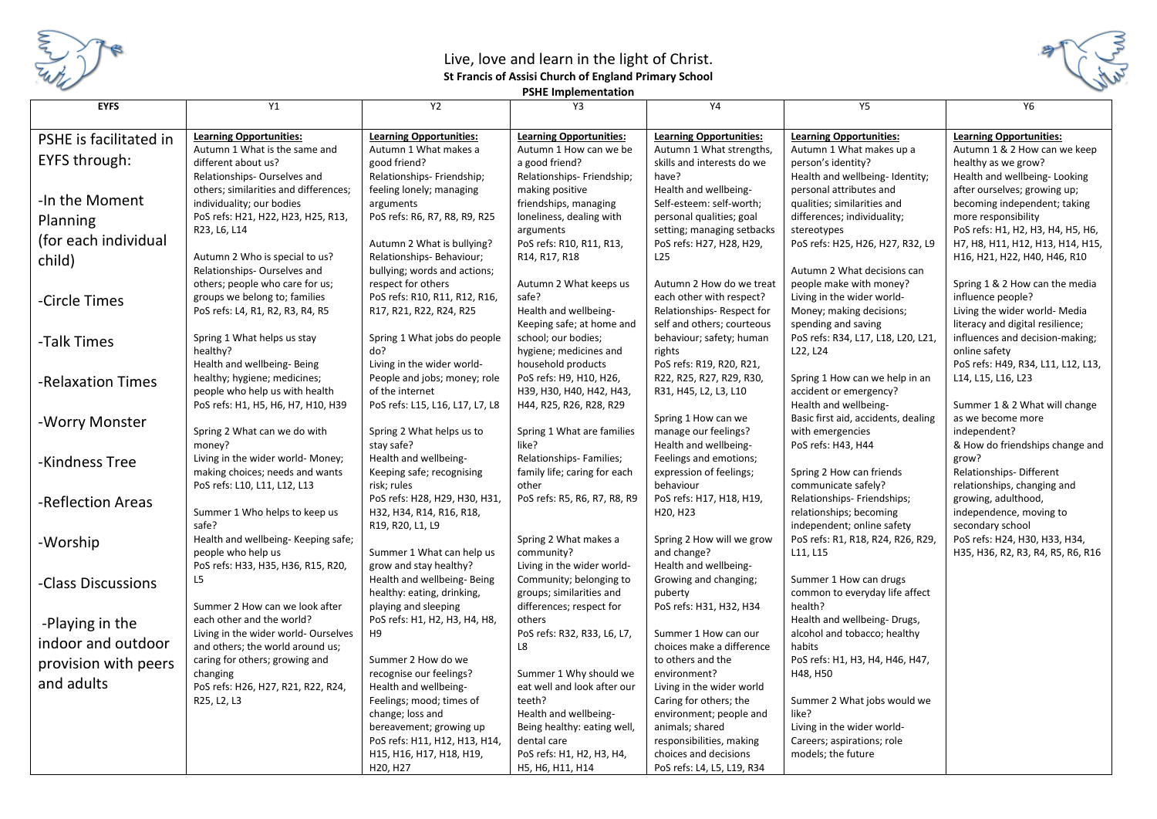

## Live, love and learn in the light of Christ. **St Francis of Assisi Church of England Primary School**



**PSHE Implementation**

| <b>EYFS</b>            | Y1                                                   | Y2                                                        | Y3                                           | Y4                                   | <b>Y5</b>                                             | <b>Y6</b>                                           |
|------------------------|------------------------------------------------------|-----------------------------------------------------------|----------------------------------------------|--------------------------------------|-------------------------------------------------------|-----------------------------------------------------|
|                        |                                                      |                                                           |                                              |                                      |                                                       |                                                     |
| PSHE is facilitated in | <b>Learning Opportunities:</b>                       | <b>Learning Opportunities:</b>                            | <b>Learning Opportunities:</b>               | <b>Learning Opportunities:</b>       | <b>Learning Opportunities:</b>                        | <b>Learning Opportunities:</b>                      |
| <b>EYFS through:</b>   | Autumn 1 What is the same and<br>different about us? | Autumn 1 What makes a<br>good friend?                     | Autumn 1 How can we be<br>a good friend?     | Autumn 1 What strengths,             | Autumn 1 What makes up a                              | Autumn 1 & 2 How can we keep                        |
|                        | Relationships-Ourselves and                          | Relationships- Friendship;                                | Relationships- Friendship;                   | skills and interests do we<br>have?  | person's identity?<br>Health and wellbeing-Identity;  | healthy as we grow?<br>Health and wellbeing-Looking |
|                        | others; similarities and differences;                | feeling lonely; managing                                  | making positive                              | Health and wellbeing-                | personal attributes and                               | after ourselves; growing up;                        |
| -In the Moment         | individuality; our bodies                            | arguments                                                 | friendships, managing                        | Self-esteem: self-worth;             | qualities; similarities and                           | becoming independent; taking                        |
| Planning               | PoS refs: H21, H22, H23, H25, R13,                   | PoS refs: R6, R7, R8, R9, R25                             | loneliness, dealing with                     | personal qualities; goal             | differences; individuality;                           | more responsibility                                 |
|                        | R23, L6, L14                                         |                                                           | arguments                                    | setting; managing setbacks           | stereotypes                                           | PoS refs: H1, H2, H3, H4, H5, H6,                   |
| (for each individual   |                                                      | Autumn 2 What is bullying?                                | PoS refs: R10, R11, R13,                     | PoS refs: H27, H28, H29,             | PoS refs: H25, H26, H27, R32, L9                      | H7, H8, H11, H12, H13, H14, H15,                    |
| child)                 | Autumn 2 Who is special to us?                       | Relationships- Behaviour;                                 | R14, R17, R18                                | L <sub>25</sub>                      |                                                       | H16, H21, H22, H40, H46, R10                        |
|                        | Relationships-Ourselves and                          | bullying; words and actions;                              |                                              |                                      | Autumn 2 What decisions can                           |                                                     |
|                        | others; people who care for us;                      | respect for others                                        | Autumn 2 What keeps us                       | Autumn 2 How do we treat             | people make with money?                               | Spring 1 & 2 How can the media                      |
| -Circle Times          | groups we belong to; families                        | PoS refs: R10, R11, R12, R16,                             | safe?                                        | each other with respect?             | Living in the wider world-                            | influence people?                                   |
|                        | PoS refs: L4, R1, R2, R3, R4, R5                     | R17, R21, R22, R24, R25                                   | Health and wellbeing-                        | Relationships-Respect for            | Money; making decisions;                              | Living the wider world- Media                       |
|                        |                                                      |                                                           | Keeping safe; at home and                    | self and others; courteous           | spending and saving                                   | literacy and digital resilience;                    |
| -Talk Times            | Spring 1 What helps us stay                          | Spring 1 What jobs do people                              | school; our bodies;                          | behaviour; safety; human             | PoS refs: R34, L17, L18, L20, L21,                    | influences and decision-making;                     |
|                        | healthy?<br>Health and wellbeing- Being              | do?<br>Living in the wider world-                         | hygiene; medicines and<br>household products | rights<br>PoS refs: R19, R20, R21,   | L22, L24                                              | online safety<br>PoS refs: H49, R34, L11, L12, L13, |
|                        | healthy; hygiene; medicines;                         | People and jobs; money; role                              | PoS refs: H9, H10, H26,                      | R22, R25, R27, R29, R30,             | Spring 1 How can we help in an                        | L14, L15, L16, L23                                  |
| -Relaxation Times      | people who help us with health                       | of the internet                                           | H39, H30, H40, H42, H43,                     | R31, H45, L2, L3, L10                | accident or emergency?                                |                                                     |
|                        | PoS refs: H1, H5, H6, H7, H10, H39                   | PoS refs: L15, L16, L17, L7, L8                           | H44, R25, R26, R28, R29                      |                                      | Health and wellbeing-                                 | Summer 1 & 2 What will change                       |
| -Worry Monster         |                                                      |                                                           |                                              | Spring 1 How can we                  | Basic first aid, accidents, dealing                   | as we become more                                   |
|                        | Spring 2 What can we do with                         | Spring 2 What helps us to                                 | Spring 1 What are families                   | manage our feelings?                 | with emergencies                                      | independent?                                        |
|                        | money?                                               | stay safe?                                                | like?                                        | Health and wellbeing-                | PoS refs: H43, H44                                    | & How do friendships change and                     |
| -Kindness Tree         | Living in the wider world- Money;                    | Health and wellbeing-                                     | Relationships-Families;                      | Feelings and emotions;               |                                                       | grow?                                               |
|                        | making choices; needs and wants                      | Keeping safe; recognising                                 | family life; caring for each                 | expression of feelings;              | Spring 2 How can friends                              | Relationships-Different                             |
|                        | PoS refs: L10, L11, L12, L13                         | risk; rules                                               | other                                        | behaviour                            | communicate safely?                                   | relationships, changing and                         |
| -Reflection Areas      | Summer 1 Who helps to keep us                        | PoS refs: H28, H29, H30, H31,<br>H32, H34, R14, R16, R18, | PoS refs: R5, R6, R7, R8, R9                 | PoS refs: H17, H18, H19,<br>H20, H23 | Relationships- Friendships;                           | growing, adulthood,                                 |
|                        | safe?                                                | R19, R20, L1, L9                                          |                                              |                                      | relationships; becoming<br>independent; online safety | independence, moving to<br>secondary school         |
|                        | Health and wellbeing- Keeping safe;                  |                                                           | Spring 2 What makes a                        | Spring 2 How will we grow            | PoS refs: R1, R18, R24, R26, R29,                     | PoS refs: H24, H30, H33, H34,                       |
| -Worship               | people who help us                                   | Summer 1 What can help us                                 | community?                                   | and change?                          | L11, L15                                              | H35, H36, R2, R3, R4, R5, R6, R16                   |
|                        | PoS refs: H33, H35, H36, R15, R20,                   | grow and stay healthy?                                    | Living in the wider world-                   | Health and wellbeing-                |                                                       |                                                     |
| -Class Discussions     | L5                                                   | Health and wellbeing- Being                               | Community; belonging to                      | Growing and changing;                | Summer 1 How can drugs                                |                                                     |
|                        |                                                      | healthy: eating, drinking,                                | groups; similarities and                     | puberty                              | common to everyday life affect                        |                                                     |
|                        | Summer 2 How can we look after                       | playing and sleeping                                      | differences; respect for                     | PoS refs: H31, H32, H34              | health?                                               |                                                     |
| -Playing in the        | each other and the world?                            | PoS refs: H1, H2, H3, H4, H8,                             | others                                       |                                      | Health and wellbeing-Drugs,                           |                                                     |
| indoor and outdoor     | Living in the wider world- Ourselves                 | H9                                                        | PoS refs: R32, R33, L6, L7,                  | Summer 1 How can our                 | alcohol and tobacco; healthy                          |                                                     |
|                        | and others; the world around us;                     |                                                           | L8                                           | choices make a difference            | habits                                                |                                                     |
| provision with peers   | caring for others; growing and<br>changing           | Summer 2 How do we<br>recognise our feelings?             | Summer 1 Why should we                       | to others and the<br>environment?    | PoS refs: H1, H3, H4, H46, H47,<br>H48, H50           |                                                     |
| and adults             | PoS refs: H26, H27, R21, R22, R24,                   | Health and wellbeing-                                     | eat well and look after our                  | Living in the wider world            |                                                       |                                                     |
|                        | R25, L2, L3                                          | Feelings; mood; times of                                  | teeth?                                       | Caring for others; the               | Summer 2 What jobs would we                           |                                                     |
|                        |                                                      | change; loss and                                          | Health and wellbeing-                        | environment; people and              | like?                                                 |                                                     |
|                        |                                                      | bereavement; growing up                                   | Being healthy: eating well,                  | animals; shared                      | Living in the wider world-                            |                                                     |
|                        |                                                      | PoS refs: H11, H12, H13, H14,                             | dental care                                  | responsibilities, making             | Careers; aspirations; role                            |                                                     |
|                        |                                                      | H15, H16, H17, H18, H19,                                  | PoS refs: H1, H2, H3, H4,                    | choices and decisions                | models; the future                                    |                                                     |
|                        |                                                      | H20, H27                                                  | H5, H6, H11, H14                             | PoS refs: L4, L5, L19, R34           |                                                       |                                                     |